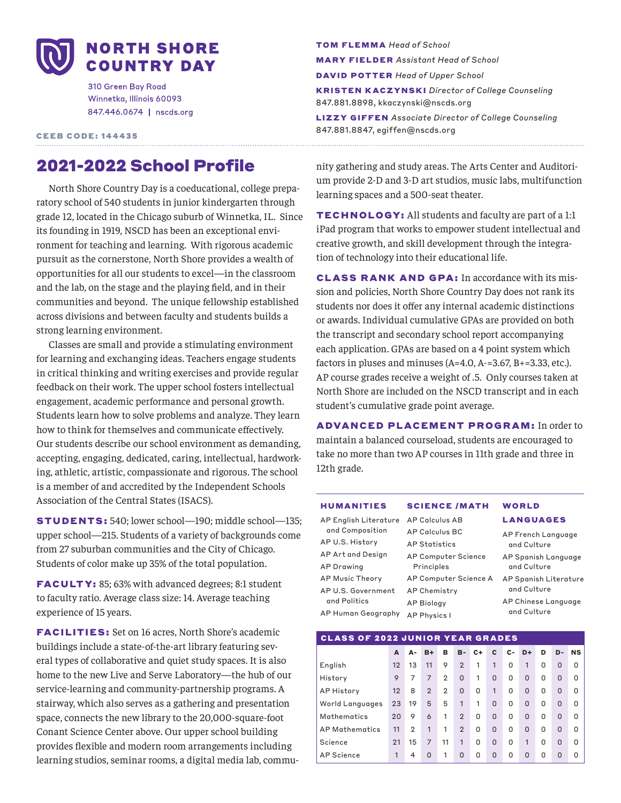

310 Green Bay Road Winnetka, Illinois 60093 847.446.0674 | nscds.org

CEEB CODE: 144435

# 2021-2022 School Profile

North Shore Country Day is a coeducational, college preparatory school of 540 students in junior kindergarten through grade 12, located in the Chicago suburb of Winnetka, IL. Since its founding in 1919, NSCD has been an exceptional environment for teaching and learning. With rigorous academic pursuit as the cornerstone, North Shore provides a wealth of opportunities for all our students to excel—in the classroom and the lab, on the stage and the playing field, and in their communities and beyond. The unique fellowship established across divisions and between faculty and students builds a strong learning environment.

Classes are small and provide a stimulating environment for learning and exchanging ideas. Teachers engage students in critical thinking and writing exercises and provide regular feedback on their work. The upper school fosters intellectual engagement, academic performance and personal growth. Students learn how to solve problems and analyze. They learn how to think for themselves and communicate effectively. Our students describe our school environment as demanding, accepting, engaging, dedicated, caring, intellectual, hardworking, athletic, artistic, compassionate and rigorous. The school is a member of and accredited by the Independent Schools Association of the Central States (ISACS).

STUDENTS: 540; lower school—190; middle school—135; upper school—215. Students of a variety of backgrounds come from 27 suburban communities and the City of Chicago. Students of color make up 35% of the total population.

FACULT Y: 85; 63% with advanced degrees; 8:1 student to faculty ratio. Average class size: 14. Average teaching experience of 15 years.

FACILITIES: Set on 16 acres, North Shore's academic buildings include a state-of-the-art library featuring several types of collaborative and quiet study spaces. It is also home to the new Live and Serve Laboratory—the hub of our service-learning and community-partnership programs. A stairway, which also serves as a gathering and presentation space, connects the new library to the 20,000-square-foot Conant Science Center above. Our upper school building provides flexible and modern room arrangements including learning studios, seminar rooms, a digital media lab, commuTOM FLEMMA *Head of School* MARY FIELDER *Assistant Head of School* DAVID POTTER *Head of Upper School* KRISTEN KACZYNSKI *Director of College Counseling* 847.881.8898, kkaczynski@nscds.org LIZZY GIFFEN *Associate Director of College Counseling* 847.881.8847, egiffen@nscds.org

nity gathering and study areas. The Arts Center and Auditorium provide 2-D and 3-D art studios, music labs, multifunction learning spaces and a 500-seat theater.

TECHNOLOGY: All students and faculty are part of a 1:1 iPad program that works to empower student intellectual and creative growth, and skill development through the integration of technology into their educational life.

CLASS RANK AND GPA: In accordance with its mission and policies, North Shore Country Day does not rank its students nor does it offer any internal academic distinctions or awards. Individual cumulative GPAs are provided on both the transcript and secondary school report accompanying each application. GPAs are based on a 4 point system which factors in pluses and minuses (A=4.0, A-=3.67, B+=3.33, etc.). AP course grades receive a weight of .5. Only courses taken at North Shore are included on the NSCD transcript and in each student's cumulative grade point average.

ADVANCED PLACEMENT PROGRAM: In order to maintain a balanced courseload, students are encouraged to take no more than two AP courses in 11th grade and three in 12th grade.

#### HUMANITIES SCIENCE /MATH WORLD

AP English Literature AP Calculus AB and Composition AP U.S. History AP Art and Design AP Drawing AP Music Theory AP U.S. Government AP Chemistry and Politics

AP Human Geography AP Physics I AP Calculus BC AP Statistics AP Computer Science Principles AP Computer Science A AP Spanish Literature AP Biology

LANGUAGES AP French Language and Culture AP Spanish Language and Culture and Culture AP Chinese Language and Culture

### CLASS OF 2022 JUNIOR YEAR GRADES **A A- B+ B B- C+ C C- D+ D D- NS** English 12 13 11 9 2 1 1 0 1 0 0 0 History 9 7 7 2 0 1 0 0 0 0 0 0 AP History 12 8 2 2 0 0 1 0 0 0 0 0 World Languages 23 19 5 5 1 1 0 0 0 0 0 0 Mathematics 20 9 6 1 2 0 0 0 0 0 0 0 AP Mathematics 11 2 1 1 2 0 0 0 0 0 0 0 Science 21 15 7 11 1 0 0 0 1 0 0 0 AP Science 1 4 0 1 0 0 0 0 0 0 0 0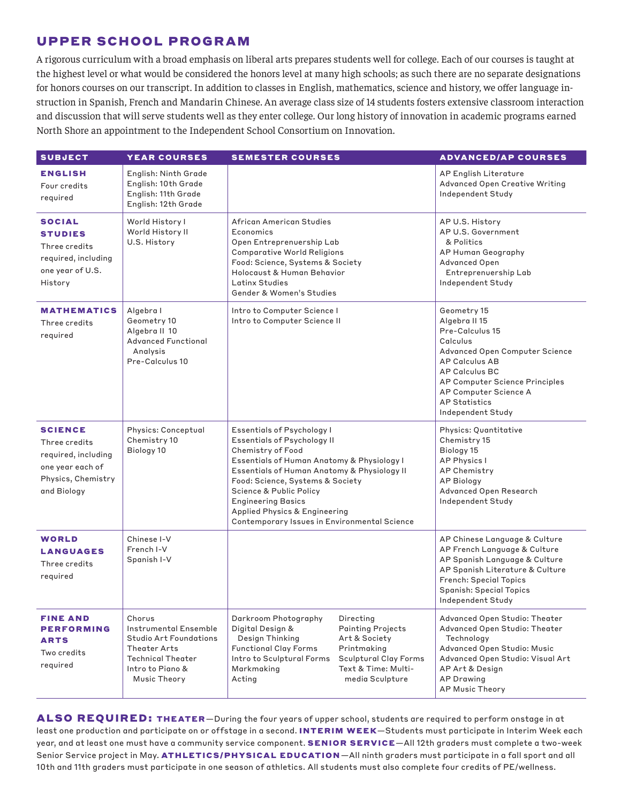# UPPER SCHOOL PROGRAM

A rigorous curriculum with a broad emphasis on liberal arts prepares students well for college. Each of our courses is taught at the highest level or what would be considered the honors level at many high schools; as such there are no separate designations for honors courses on our transcript. In addition to classes in English, mathematics, science and history, we offer language instruction in Spanish, French and Mandarin Chinese. An average class size of 14 students fosters extensive classroom interaction and discussion that will serve students well as they enter college. Our long history of innovation in academic programs earned North Shore an appointment to the Independent School Consortium on Innovation.

| <b>SUBJECT</b>                                                                                                  | <b>YEAR COURSES</b>                                                                                                                       | <b>SEMESTER COURSES</b>                                                                                                                                                                                                                                                                                                                                  |                                                                                                                                          | <b>ADVANCED/AP COURSES</b>                                                                                                                                                                                                                              |
|-----------------------------------------------------------------------------------------------------------------|-------------------------------------------------------------------------------------------------------------------------------------------|----------------------------------------------------------------------------------------------------------------------------------------------------------------------------------------------------------------------------------------------------------------------------------------------------------------------------------------------------------|------------------------------------------------------------------------------------------------------------------------------------------|---------------------------------------------------------------------------------------------------------------------------------------------------------------------------------------------------------------------------------------------------------|
| <b>ENGLISH</b><br>Four credits<br>required                                                                      | English: Ninth Grade<br>English: 10th Grade<br>English: 11th Grade<br>English: 12th Grade                                                 |                                                                                                                                                                                                                                                                                                                                                          |                                                                                                                                          | AP English Literature<br>Advanced Open Creative Writing<br>Independent Study                                                                                                                                                                            |
| <b>SOCIAL</b><br><b>STUDIES</b><br>Three credits<br>required, including<br>one year of U.S.<br>History          | World History I<br>World History II<br>U.S. History                                                                                       | African American Studies<br>Economics<br>Open Entreprenuership Lab<br><b>Comparative World Religions</b><br>Food: Science, Systems & Society<br>Holocaust & Human Behavior<br>Latinx Studies<br>Gender & Women's Studies                                                                                                                                 |                                                                                                                                          | AP U.S. History<br>AP U.S. Government<br>& Politics<br>AP Human Geography<br>Advanced Open<br>Entreprenuership Lab<br>Independent Study                                                                                                                 |
| <b>MATHEMATICS</b><br>Three credits<br>required                                                                 | Algebra I<br>Geometry 10<br>Algebra II 10<br><b>Advanced Functional</b><br>Analysis<br>Pre-Calculus 10                                    | Intro to Computer Science I<br>Intro to Computer Science II                                                                                                                                                                                                                                                                                              |                                                                                                                                          | Geometry 15<br>Algebra II 15<br>Pre-Calculus 15<br>Calculus<br>Advanced Open Computer Science<br><b>AP Calculus AB</b><br><b>AP Calculus BC</b><br>AP Computer Science Principles<br>AP Computer Science A<br><b>AP Statistics</b><br>Independent Study |
| <b>SCIENCE</b><br>Three credits<br>required, including<br>one year each of<br>Physics, Chemistry<br>and Biology | Physics: Conceptual<br>Chemistry 10<br>Biology 10                                                                                         | Essentials of Psychology I<br>Essentials of Psychology II<br>Chemistry of Food<br>Essentials of Human Anatomy & Physiology I<br>Essentials of Human Anatomy & Physiology II<br>Food: Science, Systems & Society<br>Science & Public Policy<br><b>Engineering Basics</b><br>Applied Physics & Engineering<br>Contemporary Issues in Environmental Science |                                                                                                                                          | Physics: Quantitative<br>Chemistry 15<br>Biology 15<br><b>AP Physics I</b><br>AP Chemistry<br><b>AP Biology</b><br>Advanced Open Research<br>Independent Study                                                                                          |
| <b>WORLD</b><br><b>LANGUAGES</b><br>Three credits<br>required                                                   | Chinese I-V<br>French I-V<br>Spanish I-V                                                                                                  |                                                                                                                                                                                                                                                                                                                                                          |                                                                                                                                          | AP Chinese Language & Culture<br>AP French Language & Culture<br>AP Spanish Language & Culture<br>AP Spanish Literature & Culture<br>French: Special Topics<br><b>Spanish: Special Topics</b><br>Independent Study                                      |
| <b>FINE AND</b><br><b>PERFORMING</b><br><b>ARTS</b><br>Two credits<br>required                                  | Chorus<br>Instrumental Ensemble<br>Studio Art Foundations<br>Theater Arts<br><b>Technical Theater</b><br>Intro to Piano &<br>Music Theory | Darkroom Photography<br>Digital Design &<br>Design Thinking<br><b>Functional Clay Forms</b><br>Intro to Sculptural Forms<br>Markmaking<br>Acting                                                                                                                                                                                                         | Directing<br><b>Painting Projects</b><br>Art & Society<br>Printmaking<br>Sculptural Clay Forms<br>Text & Time: Multi-<br>media Sculpture | Advanced Open Studio: Theater<br>Advanced Open Studio: Theater<br>Technology<br>Advanced Open Studio: Music<br>Advanced Open Studio: Visual Art<br>AP Art & Design<br><b>AP Drawing</b><br><b>AP Music Theory</b>                                       |

ALSO REQUIRED: THEATER—During the four years of upper school, students are required to perform onstage in at least one production and participate on or offstage in a second. INTERIM WEEK-Students must participate in Interim Week each year, and at least one must have a community service component. SENIOR SERVICE-All 12th graders must complete a two-week Senior Service project in May. ATHLETICS/PHYSICAL EDUCATION-All ninth graders must participate in a fall sport and all 10th and 11th graders must participate in one season of athletics. All students must also complete four credits of PE/wellness.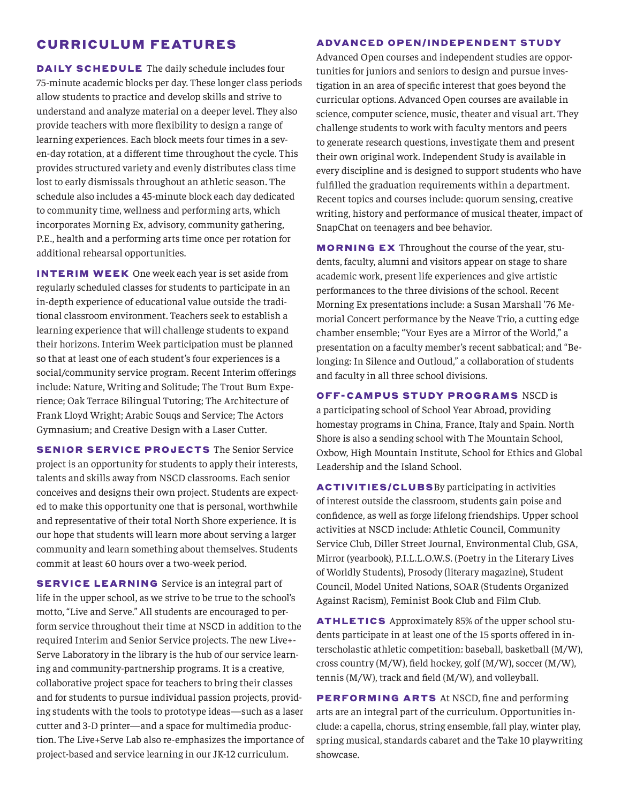### CURRICULUM FEATURES

DAILY SCHEDULE The daily schedule includes four 75-minute academic blocks per day. These longer class periods allow students to practice and develop skills and strive to understand and analyze material on a deeper level. They also provide teachers with more flexibility to design a range of learning experiences. Each block meets four times in a seven-day rotation, at a different time throughout the cycle. This provides structured variety and evenly distributes class time lost to early dismissals throughout an athletic season. The schedule also includes a 45-minute block each day dedicated to community time, wellness and performing arts, which incorporates Morning Ex, advisory, community gathering, P.E., health and a performing arts time once per rotation for additional rehearsal opportunities.

INTERIM WEEK One week each year is set aside from regularly scheduled classes for students to participate in an in-depth experience of educational value outside the traditional classroom environment. Teachers seek to establish a learning experience that will challenge students to expand their horizons. Interim Week participation must be planned so that at least one of each student's four experiences is a social/community service program. Recent Interim offerings include: Nature, Writing and Solitude; The Trout Bum Experience; Oak Terrace Bilingual Tutoring; The Architecture of Frank Lloyd Wright; Arabic Souqs and Service; The Actors Gymnasium; and Creative Design with a Laser Cutter.

**SENIOR SERVICE PROJECTS** The Senior Service project is an opportunity for students to apply their interests, talents and skills away from NSCD classrooms. Each senior conceives and designs their own project. Students are expected to make this opportunity one that is personal, worthwhile and representative of their total North Shore experience. It is our hope that students will learn more about serving a larger community and learn something about themselves. Students commit at least 60 hours over a two-week period.

SERVICE LEARNING Service is an integral part of life in the upper school, as we strive to be true to the school's motto, "Live and Serve." All students are encouraged to perform service throughout their time at NSCD in addition to the required Interim and Senior Service projects. The new Live+- Serve Laboratory in the library is the hub of our service learning and community-partnership programs. It is a creative, collaborative project space for teachers to bring their classes and for students to pursue individual passion projects, providing students with the tools to prototype ideas—such as a laser cutter and 3-D printer—and a space for multimedia production. The Live+Serve Lab also re-emphasizes the importance of project-based and service learning in our JK-12 curriculum.

#### **ADVANCED OPEN/INDEPENDENT STUDY**

Advanced Open courses and independent studies are opportunities for juniors and seniors to design and pursue investigation in an area of specific interest that goes beyond the curricular options. Advanced Open courses are available in science, computer science, music, theater and visual art. They challenge students to work with faculty mentors and peers to generate research questions, investigate them and present their own original work. Independent Study is available in every discipline and is designed to support students who have fulfilled the graduation requirements within a department. Recent topics and courses include: quorum sensing, creative writing, history and performance of musical theater, impact of SnapChat on teenagers and bee behavior.

MORNING EX Throughout the course of the year, students, faculty, alumni and visitors appear on stage to share academic work, present life experiences and give artistic performances to the three divisions of the school. Recent Morning Ex presentations include: a Susan Marshall '76 Memorial Concert performance by the Neave Trio, a cutting edge chamber ensemble; "Your Eyes are a Mirror of the World," a presentation on a faculty member's recent sabbatical; and "Belonging: In Silence and Outloud," a collaboration of students and faculty in all three school divisions.

OFF-CAMPUS STUDY PROGRAMS NSCD is a participating school of School Year Abroad, providing

homestay programs in China, France, Italy and Spain. North Shore is also a sending school with The Mountain School, Oxbow, High Mountain Institute, School for Ethics and Global Leadership and the Island School.

ACTIVITIES/CLUBSBy participating in activities of interest outside the classroom, students gain poise and confidence, as well as forge lifelong friendships. Upper school activities at NSCD include: Athletic Council, Community Service Club, Diller Street Journal, Environmental Club, GSA, Mirror (yearbook), P.I.L.L.O.W.S. (Poetry in the Literary Lives of Worldly Students), Prosody (literary magazine), Student Council, Model United Nations, SOAR (Students Organized Against Racism), Feminist Book Club and Film Club.

ATHLETICS Approximately 85% of the upper school students participate in at least one of the 15 sports offered in interscholastic athletic competition: baseball, basketball (M/W), cross country (M/W), field hockey, golf (M/W), soccer (M/W), tennis (M/W), track and field (M/W), and volleyball.

PERFORMING ARTS At NSCD, fine and performing arts are an integral part of the curriculum. Opportunities include: a capella, chorus, string ensemble, fall play, winter play, spring musical, standards cabaret and the Take 10 playwriting showcase.